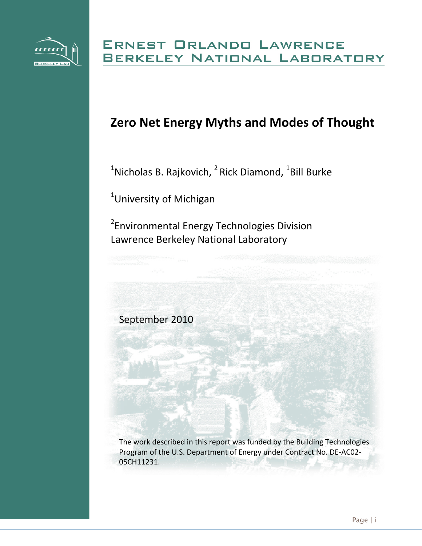

# **Zero Net Energy Myths and Modes of Thought**

 $^{1}$ Nicholas B. Rajkovich,  $^{2}$  Rick Diamond,  $^{1}$ Bill Burke

<sup>1</sup>University of Michigan

<sup>2</sup> Environmental Energy Technologies Division Lawrence Berkeley National Laboratory

September 2010

The work described in this report was funded by the Building Technologies Program of the U.S. Department of Energy under Contract No. DE‐AC02‐ 05CH11231.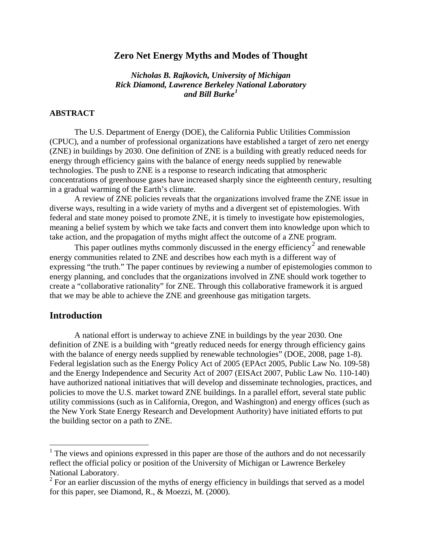# **Zero Net Energy Myths and Modes of Thought**

*Nicholas B. Rajkovich, University of Michigan Rick Diamond, Lawrence Berkeley National Laboratory and Bill Burke[1](#page-1-0)*

### **ABSTRACT**

The U.S. Department of Energy (DOE), the California Public Utilities Commission (CPUC), and a number of professional organizations have established a target of zero net energy (ZNE) in buildings by 2030. One definition of ZNE is a building with greatly reduced needs for energy through efficiency gains with the balance of energy needs supplied by renewable technologies. The push to ZNE is a response to research indicating that atmospheric concentrations of greenhouse gases have increased sharply since the eighteenth century, resulting in a gradual warming of the Earth's climate.

A review of ZNE policies reveals that the organizations involved frame the ZNE issue in diverse ways, resulting in a wide variety of myths and a divergent set of epistemologies. With federal and state money poised to promote ZNE, it is timely to investigate how epistemologies, meaning a belief system by which we take facts and convert them into knowledge upon which to take action, and the propagation of myths might affect the outcome of a ZNE program.

This paper outlines myths commonly discussed in the energy efficiency<sup>[2](#page-1-1)</sup> and renewable energy communities related to ZNE and describes how each myth is a different way of expressing "the truth." The paper continues by reviewing a number of epistemologies common to energy planning, and concludes that the organizations involved in ZNE should work together to create a "collaborative rationality" for ZNE. Through this collaborative framework it is argued that we may be able to achieve the ZNE and greenhouse gas mitigation targets.

# **Introduction**

 $\overline{a}$ 

A national effort is underway to achieve ZNE in buildings by the year 2030. One definition of ZNE is a building with "greatly reduced needs for energy through efficiency gains with the balance of energy needs supplied by renewable technologies" (DOE, 2008, page 1-8). Federal legislation such as the Energy Policy Act of 2005 (EPAct 2005, Public Law No. 109-58) and the Energy Independence and Security Act of 2007 (EISAct 2007, Public Law No. 110-140) have authorized national initiatives that will develop and disseminate technologies, practices, and policies to move the U.S. market toward ZNE buildings. In a parallel effort, several state public utility commissions (such as in California, Oregon, and Washington) and energy offices (such as the New York State Energy Research and Development Authority) have initiated efforts to put the building sector on a path to ZNE.

<span id="page-1-0"></span> $<sup>1</sup>$  The views and opinions expressed in this paper are those of the authors and do not necessarily</sup> reflect the official policy or position of the University of Michigan or Lawrence Berkeley National Laboratory.

<span id="page-1-1"></span> $2^2$  For an earlier discussion of the myths of energy efficiency in buildings that served as a model for this paper, see Diamond, R., & Moezzi, M. (2000).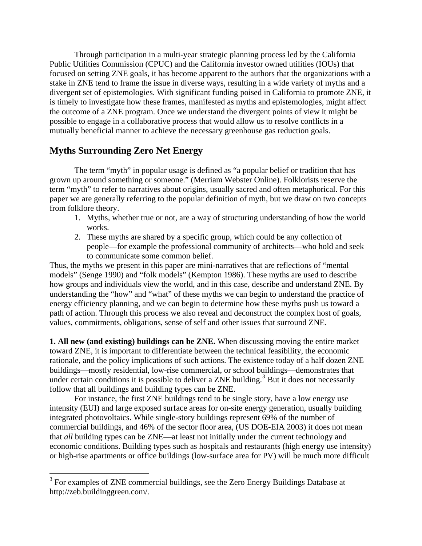Through participation in a multi-year strategic planning process led by the California Public Utilities Commission (CPUC) and the California investor owned utilities (IOUs) that focused on setting ZNE goals, it has become apparent to the authors that the organizations with a stake in ZNE tend to frame the issue in diverse ways, resulting in a wide variety of myths and a divergent set of epistemologies. With significant funding poised in California to promote ZNE, it is timely to investigate how these frames, manifested as myths and epistemologies, might affect the outcome of a ZNE program. Once we understand the divergent points of view it might be possible to engage in a collaborative process that would allow us to resolve conflicts in a mutually beneficial manner to achieve the necessary greenhouse gas reduction goals.

# **Myths Surrounding Zero Net Energy**

1

The term "myth" in popular usage is defined as "a popular belief or tradition that has grown up around something or someone." (Merriam Webster Online). Folklorists reserve the term "myth" to refer to narratives about origins, usually sacred and often metaphorical. For this paper we are generally referring to the popular definition of myth, but we draw on two concepts from folklore theory.

- 1. Myths, whether true or not, are a way of structuring understanding of how the world works.
- 2. These myths are shared by a specific group, which could be any collection of people—for example the professional community of architects—who hold and seek to communicate some common belief.

Thus, the myths we present in this paper are mini-narratives that are reflections of "mental models" (Senge 1990) and "folk models" (Kempton 1986). These myths are used to describe how groups and individuals view the world, and in this case, describe and understand ZNE. By understanding the "how" and "what" of these myths we can begin to understand the practice of energy efficiency planning, and we can begin to determine how these myths push us toward a path of action. Through this process we also reveal and deconstruct the complex host of goals, values, commitments, obligations, sense of self and other issues that surround ZNE.

**1. All new (and existing) buildings can be ZNE.** When discussing moving the entire market toward ZNE, it is important to differentiate between the technical feasibility, the economic rationale, and the policy implications of such actions. The existence today of a half dozen ZNE buildings—mostly residential, low-rise commercial, or school buildings—demonstrates that under certain conditions it is possible to deliver a ZNE building.<sup>[3](#page-2-0)</sup> But it does not necessarily follow that all buildings and building types can be ZNE.

For instance, the first ZNE buildings tend to be single story, have a low energy use intensity (EUI) and large exposed surface areas for on-site energy generation, usually building integrated photovoltaics. While single-story buildings represent 69% of the number of commercial buildings, and 46% of the sector floor area, (US DOE-EIA 2003) it does not mean that *all* building types can be ZNE—at least not initially under the current technology and economic conditions. Building types such as hospitals and restaurants (high energy use intensity) or high-rise apartments or office buildings (low-surface area for PV) will be much more difficult

<span id="page-2-0"></span><sup>&</sup>lt;sup>3</sup> For examples of ZNE commercial buildings, see the Zero Energy Buildings Database at http://zeb.buildinggreen.com/.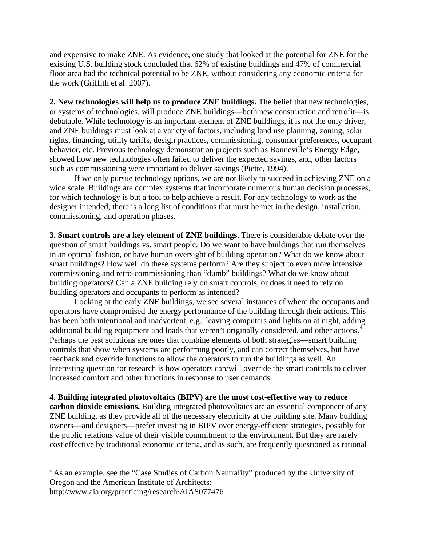and expensive to make ZNE. As evidence, one study that looked at the potential for ZNE for the existing U.S. building stock concluded that 62% of existing buildings and 47% of commercial floor area had the technical potential to be ZNE, without considering any economic criteria for the work (Griffith et al. 2007).

**2. New technologies will help us to produce ZNE buildings.** The belief that new technologies, or systems of technologies, will produce ZNE buildings—both new construction and retrofit—is debatable. While technology is an important element of ZNE buildings, it is not the only driver, and ZNE buildings must look at a variety of factors, including land use planning, zoning, solar rights, financing, utility tariffs, design practices, commissioning, consumer preferences, occupant behavior, etc. Previous technology demonstration projects such as Bonneville's Energy Edge, showed how new technologies often failed to deliver the expected savings, and, other factors such as commissioning were important to deliver savings (Piette, 1994).

If we only pursue technology options, we are not likely to succeed in achieving ZNE on a wide scale. Buildings are complex systems that incorporate numerous human decision processes, for which technology is but a tool to help achieve a result. For any technology to work as the designer intended, there is a long list of conditions that must be met in the design, installation, commissioning, and operation phases.

**3. Smart controls are a key element of ZNE buildings.** There is considerable debate over the question of smart buildings vs. smart people. Do we want to have buildings that run themselves in an optimal fashion, or have human oversight of building operation? What do we know about smart buildings? How well do these systems perform? Are they subject to even more intensive commissioning and retro-commissioning than "dumb" buildings? What do we know about building operators? Can a ZNE building rely on smart controls, or does it need to rely on building operators and occupants to perform as intended?

Looking at the early ZNE buildings, we see several instances of where the occupants and operators have compromised the energy performance of the building through their actions. This has been both intentional and inadvertent, e.g., leaving computers and lights on at night, adding additional building equipment and loads that weren't originally considered, and other actions.<sup>[4](#page-3-0)</sup> Perhaps the best solutions are ones that combine elements of both strategies—smart building controls that show when systems are performing poorly, and can correct themselves, but have feedback and override functions to allow the operators to run the buildings as well. An interesting question for research is how operators can/will override the smart controls to deliver increased comfort and other functions in response to user demands.

### **4. Building integrated photovoltaics (BIPV) are the most cost-effective way to reduce**

**carbon dioxide emissions.** Building integrated photovoltaics are an essential component of any ZNE building, as they provide all of the necessary electricity at the building site. Many building owners—and designers—prefer investing in BIPV over energy-efficient strategies, possibly for the public relations value of their visible commitment to the environment. But they are rarely cost effective by traditional economic criteria, and as such, are frequently questioned as rational

1

<span id="page-3-0"></span><sup>4</sup> As an example, see the "Case Studies of Carbon Neutrality" produced by the University of Oregon and the American Institute of Architects:

http://www.aia.org/practicing/research/AIAS077476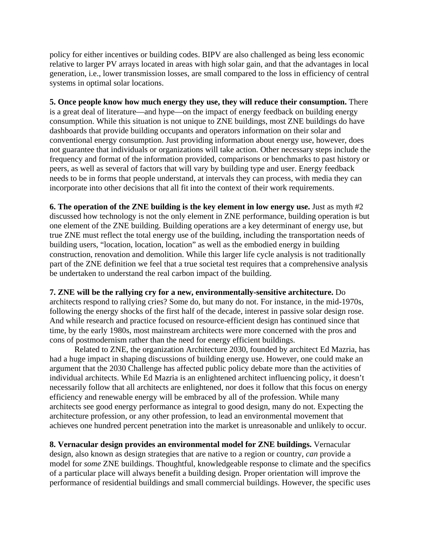policy for either incentives or building codes. BIPV are also challenged as being less economic relative to larger PV arrays located in areas with high solar gain, and that the advantages in local generation, i.e., lower transmission losses, are small compared to the loss in efficiency of central systems in optimal solar locations.

**5. Once people know how much energy they use, they will reduce their consumption.** There is a great deal of literature—and hype—on the impact of energy feedback on building energy consumption. While this situation is not unique to ZNE buildings, most ZNE buildings do have dashboards that provide building occupants and operators information on their solar and conventional energy consumption. Just providing information about energy use, however, does not guarantee that individuals or organizations will take action. Other necessary steps include the frequency and format of the information provided, comparisons or benchmarks to past history or peers, as well as several of factors that will vary by building type and user. Energy feedback needs to be in forms that people understand, at intervals they can process, with media they can incorporate into other decisions that all fit into the context of their work requirements.

**6. The operation of the ZNE building is the key element in low energy use.** Just as myth #2 discussed how technology is not the only element in ZNE performance, building operation is but one element of the ZNE building. Building operations are a key determinant of energy use, but true ZNE must reflect the total energy use of the building, including the transportation needs of building users, "location, location, location" as well as the embodied energy in building construction, renovation and demolition. While this larger life cycle analysis is not traditionally part of the ZNE definition we feel that a true societal test requires that a comprehensive analysis be undertaken to understand the real carbon impact of the building.

**7. ZNE will be the rallying cry for a new, environmentally-sensitive architecture.** Do architects respond to rallying cries? Some do, but many do not. For instance, in the mid-1970s, following the energy shocks of the first half of the decade, interest in passive solar design rose. And while research and practice focused on resource-efficient design has continued since that time, by the early 1980s, most mainstream architects were more concerned with the pros and cons of postmodernism rather than the need for energy efficient buildings.

Related to ZNE, the organization Architecture 2030, founded by architect Ed Mazria, has had a huge impact in shaping discussions of building energy use. However, one could make an argument that the 2030 Challenge has affected public policy debate more than the activities of individual architects. While Ed Mazria is an enlightened architect influencing policy, it doesn't necessarily follow that all architects are enlightened, nor does it follow that this focus on energy efficiency and renewable energy will be embraced by all of the profession. While many architects see good energy performance as integral to good design, many do not. Expecting the architecture profession, or any other profession, to lead an environmental movement that achieves one hundred percent penetration into the market is unreasonable and unlikely to occur.

**8. Vernacular design provides an environmental model for ZNE buildings.** Vernacular design, also known as design strategies that are native to a region or country, *can* provide a model for *some* ZNE buildings. Thoughtful, knowledgeable response to climate and the specifics of a particular place will always benefit a building design. Proper orientation will improve the performance of residential buildings and small commercial buildings. However, the specific uses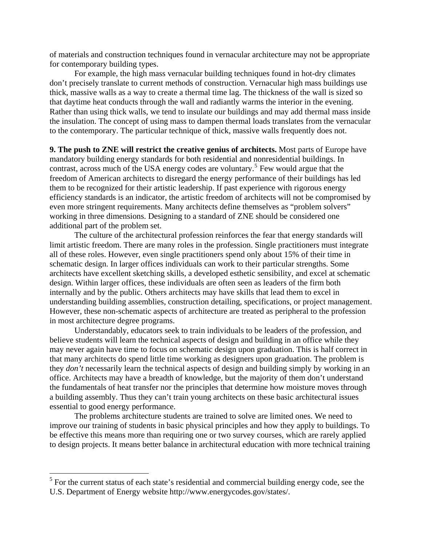of materials and construction techniques found in vernacular architecture may not be appropriate for contemporary building types.

For example, the high mass vernacular building techniques found in hot-dry climates don't precisely translate to current methods of construction. Vernacular high mass buildings use thick, massive walls as a way to create a thermal time lag. The thickness of the wall is sized so that daytime heat conducts through the wall and radiantly warms the interior in the evening. Rather than using thick walls, we tend to insulate our buildings and may add thermal mass inside the insulation. The concept of using mass to dampen thermal loads translates from the vernacular to the contemporary. The particular technique of thick, massive walls frequently does not.

**9. The push to ZNE will restrict the creative genius of architects.** Most parts of Europe have mandatory building energy standards for both residential and nonresidential buildings. In contrast, across much of the USA energy codes are voluntary.<sup>[5](#page-5-0)</sup> Few would argue that the freedom of American architects to disregard the energy performance of their buildings has led them to be recognized for their artistic leadership. If past experience with rigorous energy efficiency standards is an indicator, the artistic freedom of architects will not be compromised by even more stringent requirements. Many architects define themselves as "problem solvers" working in three dimensions. Designing to a standard of ZNE should be considered one additional part of the problem set.

The culture of the architectural profession reinforces the fear that energy standards will limit artistic freedom. There are many roles in the profession. Single practitioners must integrate all of these roles. However, even single practitioners spend only about 15% of their time in schematic design. In larger offices individuals can work to their particular strengths. Some architects have excellent sketching skills, a developed esthetic sensibility, and excel at schematic design. Within larger offices, these individuals are often seen as leaders of the firm both internally and by the public. Others architects may have skills that lead them to excel in understanding building assemblies, construction detailing, specifications, or project management. However, these non-schematic aspects of architecture are treated as peripheral to the profession in most architecture degree programs.

Understandably, educators seek to train individuals to be leaders of the profession, and believe students will learn the technical aspects of design and building in an office while they may never again have time to focus on schematic design upon graduation. This is half correct in that many architects do spend little time working as designers upon graduation. The problem is they *don't* necessarily learn the technical aspects of design and building simply by working in an office. Architects may have a breadth of knowledge, but the majority of them don't understand the fundamentals of heat transfer nor the principles that determine how moisture moves through a building assembly. Thus they can't train young architects on these basic architectural issues essential to good energy performance.

The problems architecture students are trained to solve are limited ones. We need to improve our training of students in basic physical principles and how they apply to buildings. To be effective this means more than requiring one or two survey courses, which are rarely applied to design projects. It means better balance in architectural education with more technical training

 $\overline{a}$ 

<span id="page-5-0"></span> $<sup>5</sup>$  For the current status of each state's residential and commercial building energy code, see the</sup> U.S. Department of Energy website http://www.energycodes.gov/states/.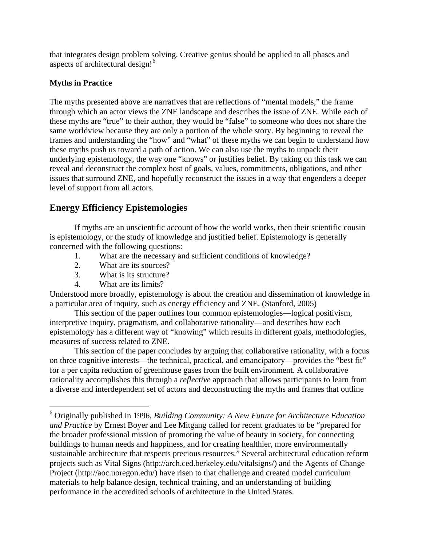that integrates design problem solving. Creative genius should be applied to all phases and aspects of architectural design![6](#page-6-0)

# **Myths in Practice**

The myths presented above are narratives that are reflections of "mental models," the frame through which an actor views the ZNE landscape and describes the issue of ZNE. While each of these myths are "true" to their author, they would be "false" to someone who does not share the same worldview because they are only a portion of the whole story. By beginning to reveal the frames and understanding the "how" and "what" of these myths we can begin to understand how these myths push us toward a path of action. We can also use the myths to unpack their underlying epistemology, the way one "knows" or justifies belief. By taking on this task we can reveal and deconstruct the complex host of goals, values, commitments, obligations, and other issues that surround ZNE, and hopefully reconstruct the issues in a way that engenders a deeper level of support from all actors.

# **Energy Efficiency Epistemologies**

If myths are an unscientific account of how the world works, then their scientific cousin is epistemology, or the study of knowledge and justified belief. Epistemology is generally concerned with the following questions:

- 1. What are the necessary and sufficient conditions of knowledge?
- 2. What are its sources?
- 3. What is its structure?
- 4. What are its limits?

Understood more broadly, epistemology is about the creation and dissemination of knowledge in a particular area of inquiry, such as energy efficiency and ZNE. (Stanford, 2005)

This section of the paper outlines four common epistemologies—logical positivism, interpretive inquiry, pragmatism, and collaborative rationality—and describes how each epistemology has a different way of "knowing" which results in different goals, methodologies, measures of success related to ZNE.

This section of the paper concludes by arguing that collaborative rationality, with a focus on three cognitive interests—the technical, practical, and emancipatory—provides the "best fit" for a per capita reduction of greenhouse gases from the built environment. A collaborative rationality accomplishes this through a *reflective* approach that allows participants to learn from a diverse and interdependent set of actors and deconstructing the myths and frames that outline

<span id="page-6-0"></span> 6 Originally published in 1996, *Building Community: A New Future for Architecture Education and Practice* by Ernest Boyer and Lee Mitgang called for recent graduates to be "prepared for the broader professional mission of promoting the value of beauty in society, for connecting buildings to human needs and happiness, and for creating healthier, more environmentally sustainable architecture that respects precious resources." Several architectural education reform projects such as Vital Signs (http://arch.ced.berkeley.edu/vitalsigns/) and the Agents of Change Project (http://aoc.uoregon.edu/) have risen to that challenge and created model curriculum materials to help balance design, technical training, and an understanding of building performance in the accredited schools of architecture in the United States.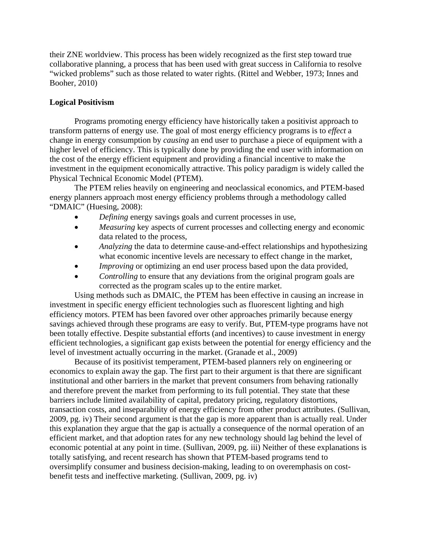their ZNE worldview. This process has been widely recognized as the first step toward true collaborative planning, a process that has been used with great success in California to resolve "wicked problems" such as those related to water rights. (Rittel and Webber, 1973; Innes and Booher, 2010)

# **Logical Positivism**

Programs promoting energy efficiency have historically taken a positivist approach to transform patterns of energy use. The goal of most energy efficiency programs is to *effect* a change in energy consumption by *causing* an end user to purchase a piece of equipment with a higher level of efficiency. This is typically done by providing the end user with information on the cost of the energy efficient equipment and providing a financial incentive to make the investment in the equipment economically attractive. This policy paradigm is widely called the Physical Technical Economic Model (PTEM).

The PTEM relies heavily on engineering and neoclassical economics, and PTEM-based energy planners approach most energy efficiency problems through a methodology called "DMAIC" (Huesing, 2008):

- *Defining* energy savings goals and current processes in use,
- *Measuring* key aspects of current processes and collecting energy and economic data related to the process,
- *Analyzing* the data to determine cause-and-effect relationships and hypothesizing what economic incentive levels are necessary to effect change in the market,
- *Improving* or optimizing an end user process based upon the data provided,
- *Controlling* to ensure that any deviations from the original program goals are corrected as the program scales up to the entire market.

Using methods such as DMAIC, the PTEM has been effective in causing an increase in investment in specific energy efficient technologies such as fluorescent lighting and high efficiency motors. PTEM has been favored over other approaches primarily because energy savings achieved through these programs are easy to verify. But, PTEM-type programs have not been totally effective. Despite substantial efforts (and incentives) to cause investment in energy efficient technologies, a significant gap exists between the potential for energy efficiency and the level of investment actually occurring in the market. (Granade et al., 2009)

Because of its positivist temperament, PTEM-based planners rely on engineering or economics to explain away the gap. The first part to their argument is that there are significant institutional and other barriers in the market that prevent consumers from behaving rationally and therefore prevent the market from performing to its full potential. They state that these barriers include limited availability of capital, predatory pricing, regulatory distortions, transaction costs, and inseparability of energy efficiency from other product attributes. (Sullivan, 2009, pg. iv) Their second argument is that the gap is more apparent than is actually real. Under this explanation they argue that the gap is actually a consequence of the normal operation of an efficient market, and that adoption rates for any new technology should lag behind the level of economic potential at any point in time. (Sullivan, 2009, pg. iii) Neither of these explanations is totally satisfying, and recent research has shown that PTEM-based programs tend to oversimplify consumer and business decision-making, leading to on overemphasis on costbenefit tests and ineffective marketing. (Sullivan, 2009, pg. iv)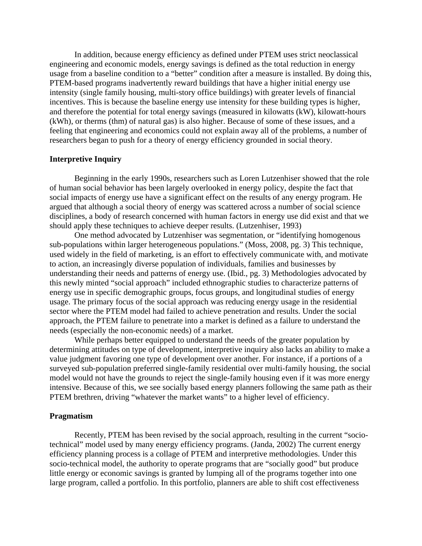In addition, because energy efficiency as defined under PTEM uses strict neoclassical engineering and economic models, energy savings is defined as the total reduction in energy usage from a baseline condition to a "better" condition after a measure is installed. By doing this, PTEM-based programs inadvertently reward buildings that have a higher initial energy use intensity (single family housing, multi-story office buildings) with greater levels of financial incentives. This is because the baseline energy use intensity for these building types is higher, and therefore the potential for total energy savings (measured in kilowatts (kW), kilowatt-hours (kWh), or therms (thm) of natural gas) is also higher. Because of some of these issues, and a feeling that engineering and economics could not explain away all of the problems, a number of researchers began to push for a theory of energy efficiency grounded in social theory.

### **Interpretive Inquiry**

Beginning in the early 1990s, researchers such as Loren Lutzenhiser showed that the role of human social behavior has been largely overlooked in energy policy, despite the fact that social impacts of energy use have a significant effect on the results of any energy program. He argued that although a social theory of energy was scattered across a number of social science disciplines, a body of research concerned with human factors in energy use did exist and that we should apply these techniques to achieve deeper results. (Lutzenhiser, 1993)

One method advocated by Lutzenhiser was segmentation, or "identifying homogenous sub-populations within larger heterogeneous populations." (Moss, 2008, pg. 3) This technique, used widely in the field of marketing, is an effort to effectively communicate with, and motivate to action, an increasingly diverse population of individuals, families and businesses by understanding their needs and patterns of energy use. (Ibid., pg. 3) Methodologies advocated by this newly minted "social approach" included ethnographic studies to characterize patterns of energy use in specific demographic groups, focus groups, and longitudinal studies of energy usage. The primary focus of the social approach was reducing energy usage in the residential sector where the PTEM model had failed to achieve penetration and results. Under the social approach, the PTEM failure to penetrate into a market is defined as a failure to understand the needs (especially the non-economic needs) of a market.

While perhaps better equipped to understand the needs of the greater population by determining attitudes on type of development, interpretive inquiry also lacks an ability to make a value judgment favoring one type of development over another. For instance, if a portions of a surveyed sub-population preferred single-family residential over multi-family housing, the social model would not have the grounds to reject the single-family housing even if it was more energy intensive. Because of this, we see socially based energy planners following the same path as their PTEM brethren, driving "whatever the market wants" to a higher level of efficiency.

#### **Pragmatism**

Recently, PTEM has been revised by the social approach, resulting in the current "sociotechnical" model used by many energy efficiency programs. (Janda, 2002) The current energy efficiency planning process is a collage of PTEM and interpretive methodologies. Under this socio-technical model, the authority to operate programs that are "socially good" but produce little energy or economic savings is granted by lumping all of the programs together into one large program, called a portfolio. In this portfolio, planners are able to shift cost effectiveness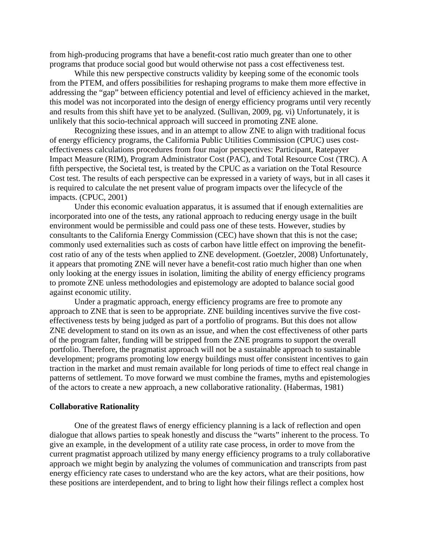from high-producing programs that have a benefit-cost ratio much greater than one to other programs that produce social good but would otherwise not pass a cost effectiveness test.

While this new perspective constructs validity by keeping some of the economic tools from the PTEM, and offers possibilities for reshaping programs to make them more effective in addressing the "gap" between efficiency potential and level of efficiency achieved in the market, this model was not incorporated into the design of energy efficiency programs until very recently and results from this shift have yet to be analyzed. (Sullivan, 2009, pg. vi) Unfortunately, it is unlikely that this socio-technical approach will succeed in promoting ZNE alone.

Recognizing these issues, and in an attempt to allow ZNE to align with traditional focus of energy efficiency programs, the California Public Utilities Commission (CPUC) uses costeffectiveness calculations procedures from four major perspectives: Participant, Ratepayer Impact Measure (RIM), Program Administrator Cost (PAC), and Total Resource Cost (TRC). A fifth perspective, the Societal test, is treated by the CPUC as a variation on the Total Resource Cost test. The results of each perspective can be expressed in a variety of ways, but in all cases it is required to calculate the net present value of program impacts over the lifecycle of the impacts. (CPUC, 2001)

Under this economic evaluation apparatus, it is assumed that if enough externalities are incorporated into one of the tests, any rational approach to reducing energy usage in the built environment would be permissible and could pass one of these tests. However, studies by consultants to the California Energy Commission (CEC) have shown that this is not the case; commonly used externalities such as costs of carbon have little effect on improving the benefitcost ratio of any of the tests when applied to ZNE development. (Goetzler, 2008) Unfortunately, it appears that promoting ZNE will never have a benefit-cost ratio much higher than one when only looking at the energy issues in isolation, limiting the ability of energy efficiency programs to promote ZNE unless methodologies and epistemology are adopted to balance social good against economic utility.

Under a pragmatic approach, energy efficiency programs are free to promote any approach to ZNE that is seen to be appropriate. ZNE building incentives survive the five costeffectiveness tests by being judged as part of a portfolio of programs. But this does not allow ZNE development to stand on its own as an issue, and when the cost effectiveness of other parts of the program falter, funding will be stripped from the ZNE programs to support the overall portfolio. Therefore, the pragmatist approach will not be a sustainable approach to sustainable development; programs promoting low energy buildings must offer consistent incentives to gain traction in the market and must remain available for long periods of time to effect real change in patterns of settlement. To move forward we must combine the frames, myths and epistemologies of the actors to create a new approach, a new collaborative rationality. (Habermas, 1981)

#### **Collaborative Rationality**

One of the greatest flaws of energy efficiency planning is a lack of reflection and open dialogue that allows parties to speak honestly and discuss the "warts" inherent to the process. To give an example, in the development of a utility rate case process, in order to move from the current pragmatist approach utilized by many energy efficiency programs to a truly collaborative approach we might begin by analyzing the volumes of communication and transcripts from past energy efficiency rate cases to understand who are the key actors, what are their positions, how these positions are interdependent, and to bring to light how their filings reflect a complex host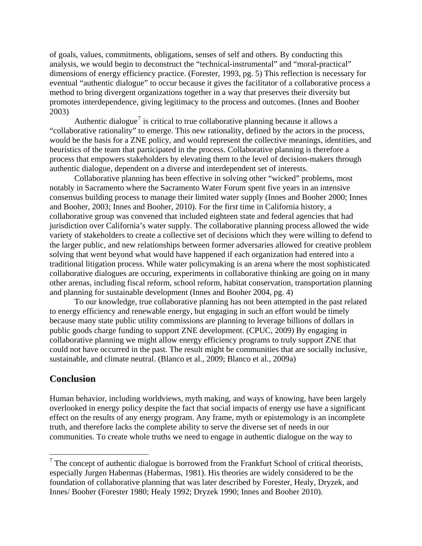of goals, values, commitments, obligations, senses of self and others. By conducting this analysis, we would begin to deconstruct the "technical-instrumental" and "moral-practical" dimensions of energy efficiency practice. (Forester, 1993, pg. 5) This reflection is necessary for eventual "authentic dialogue" to occur because it gives the facilitator of a collaborative process a method to bring divergent organizations together in a way that preserves their diversity but promotes interdependence, giving legitimacy to the process and outcomes. (Innes and Booher 2003)

Authentic dialogue<sup>[7](#page-10-0)</sup> is critical to true collaborative planning because it allows a "collaborative rationality" to emerge. This new rationality, defined by the actors in the process, would be the basis for a ZNE policy, and would represent the collective meanings, identities, and heuristics of the team that participated in the process. Collaborative planning is therefore a process that empowers stakeholders by elevating them to the level of decision-makers through authentic dialogue, dependent on a diverse and interdependent set of interests.

Collaborative planning has been effective in solving other "wicked" problems, most notably in Sacramento where the Sacramento Water Forum spent five years in an intensive consensus building process to manage their limited water supply (Innes and Booher 2000; Innes and Booher, 2003; Innes and Booher, 2010). For the first time in California history, a collaborative group was convened that included eighteen state and federal agencies that had jurisdiction over California's water supply. The collaborative planning process allowed the wide variety of stakeholders to create a collective set of decisions which they were willing to defend to the larger public, and new relationships between former adversaries allowed for creative problem solving that went beyond what would have happened if each organization had entered into a traditional litigation process. While water policymaking is an arena where the most sophisticated collaborative dialogues are occuring, experiments in collaborative thinking are going on in many other arenas, including fiscal reform, school reform, habitat conservation, transportation planning and planning for sustainable development (Innes and Booher 2004, pg. 4)

To our knowledge, true collaborative planning has not been attempted in the past related to energy efficiency and renewable energy, but engaging in such an effort would be timely because many state public utility commissions are planning to leverage billions of dollars in public goods charge funding to support ZNE development. (CPUC, 2009) By engaging in collaborative planning we might allow energy efficiency programs to truly support ZNE that could not have occurred in the past. The result might be communities that are socially inclusive, sustainable, and climate neutral. (Blanco et al., 2009; Blanco et al., 2009a)

# **Conclusion**

 $\overline{a}$ 

Human behavior, including worldviews, myth making, and ways of knowing, have been largely overlooked in energy policy despite the fact that social impacts of energy use have a significant effect on the results of any energy program. Any frame, myth or epistemology is an incomplete truth, and therefore lacks the complete ability to serve the diverse set of needs in our communities. To create whole truths we need to engage in authentic dialogue on the way to

<span id="page-10-0"></span> $<sup>7</sup>$  The concept of authentic dialogue is borrowed from the Frankfurt School of critical theorists,</sup> especially Jurgen Habermas (Habermas, 1981). His theories are widely considered to be the foundation of collaborative planning that was later described by Forester, Healy, Dryzek, and Innes/ Booher (Forester 1980; Healy 1992; Dryzek 1990; Innes and Booher 2010).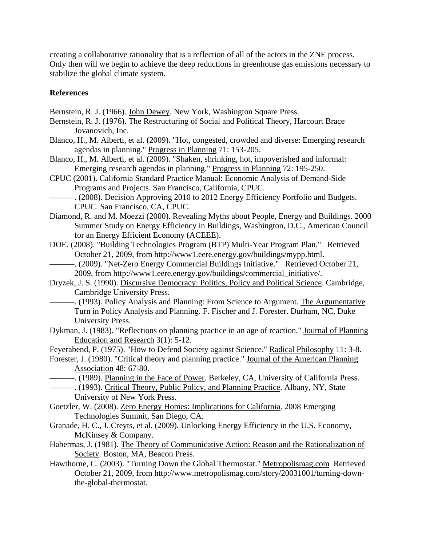creating a collaborative rationality that is a reflection of all of the actors in the ZNE process. Only then will we begin to achieve the deep reductions in greenhouse gas emissions necessary to stabilize the global climate system.

# **References**

Bernstein, R. J. (1966). John Dewey. New York, Washington Square Press.

- Bernstein, R. J. (1976). The Restructuring of Social and Political Theory, Harcourt Brace Jovanovich, Inc.
- Blanco, H., M. Alberti, et al. (2009). "Hot, congested, crowded and diverse: Emerging research agendas in planning." Progress in Planning 71: 153-205.
- Blanco, H., M. Alberti, et al. (2009). "Shaken, shrinking, hot, impoverished and informal: Emerging research agendas in planning." Progress in Planning 72: 195-250.
- CPUC (2001). California Standard Practice Manual: Economic Analysis of Demand-Side Programs and Projects. San Francisco, California, CPUC.
	- -. (2008). Decision Approving 2010 to 2012 Energy Efficiency Portfolio and Budgets. CPUC. San Francisco, CA, CPUC.
- Diamond, R. and M. Moezzi (2000). Revealing Myths about People, Energy and Buildings. 2000 Summer Study on Energy Efficiency in Buildings, Washington, D.C., American Council for an Energy Efficient Economy (ACEEE).
- DOE. (2008). "Building Technologies Program (BTP) Multi-Year Program Plan." Retrieved October 21, 2009, from http://www1.eere.energy.gov/buildings/mypp.html.
- -. (2009). "Net-Zero Energy Commercial Buildings Initiative." Retrieved October 21, 2009, from http://www1.eere.energy.gov/buildings/commercial\_initiative/.
- Dryzek, J. S. (1990). Discursive Democracy: Politics, Policy and Political Science. Cambridge, Cambridge University Press.
	- ———. (1993). Policy Analysis and Planning: From Science to Argument. The Argumentative Turn in Policy Analysis and Planning. F. Fischer and J. Forester. Durham, NC, Duke University Press.
- Dykman, J. (1983). "Reflections on planning practice in an age of reaction." Journal of Planning Education and Research 3(1): 5-12.
- Feyerabend, P. (1975). "How to Defend Society against Science." Radical Philosophy 11: 3-8.
- Forester, J. (1980). "Critical theory and planning practice." Journal of the American Planning Association 48: 67-80.
- ———. (1989). Planning in the Face of Power. Berkeley, CA, University of California Press. ———. (1993). Critical Theory, Public Policy, and Planning Practice. Albany, NY, State University of New York Press.
- Goetzler, W. (2008). Zero Energy Homes: Implications for California. 2008 Emerging Technologies Summit, San Diego, CA.
- Granade, H. C., J. Creyts, et al. (2009). Unlocking Energy Efficiency in the U.S. Economy, McKinsey & Company.
- Habermas, J. (1981). The Theory of Communicative Action: Reason and the Rationalization of Society. Boston, MA, Beacon Press.
- Hawthorne, C. (2003). "Turning Down the Global Thermostat." Metropolismag.com Retrieved October 21, 2009, from http://www.metropolismag.com/story/20031001/turning-downthe-global-thermostat.